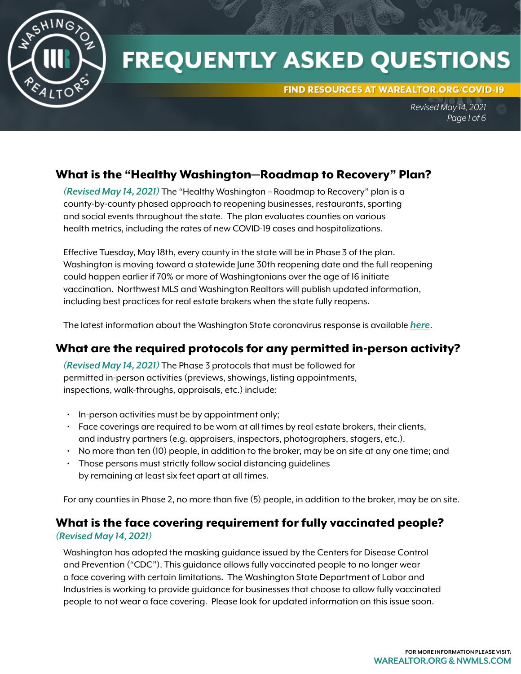

# **FREQUENTLY ASKED QUESTIONS**

FIND RESOURCES AT WAREALTOR.ORG/COVID-19

*Revised May 14, 2021 Page 1 of 6*

# What is the "Healthy Washington—Roadmap to Recovery" Plan?

*(Revised May 14, 2021)* The "Healthy Washington – Roadmap to Recovery" plan is a county-by-county phased approach to reopening businesses, restaurants, sporting and social events throughout the state. The plan evaluates counties on various health metrics, including the rates of new COVID-19 cases and hospitalizations.

Effective Tuesday, May 18th, every county in the state will be in Phase 3 of the plan. Washington is moving toward a statewide June 30th reopening date and the full reopening could happen earlier if 70% or more of Washingtonians over the age of 16 initiate vaccination. Northwest MLS and Washington Realtors will publish updated information, including best practices for real estate brokers when the state fully reopens.

The latest information about the Washington State coronavirus response is available *[here](https://coronavirus.wa.gov/)*.

# What are the required protocols for any permitted in-person activity?

*(Revised May 14, 2021)* The Phase 3 protocols that must be followed for permitted in-person activities (previews, showings, listing appointments, inspections, walk-throughs, appraisals, etc.) include:

- In-person activities must be by appointment only;
- Face coverings are required to be worn at all times by real estate brokers, their clients, and industry partners (e.g. appraisers, inspectors, photographers, stagers, etc.).
- No more than ten (10) people, in addition to the broker, may be on site at any one time; and
- Those persons must strictly follow social distancing guidelines by remaining at least six feet apart at all times.

For any counties in Phase 2, no more than five (5) people, in addition to the broker, may be on site.

# What is the face covering requirement for fully vaccinated people?

#### *(Revised May 14, 2021)*

Washington has adopted the masking guidance issued by the Centers for Disease Control and Prevention ("CDC"). This guidance allows fully vaccinated people to no longer wear a face covering with certain limitations. The Washington State Department of Labor and Industries is working to provide guidance for businesses that choose to allow fully vaccinated people to not wear a face covering. Please look for updated information on this issue soon.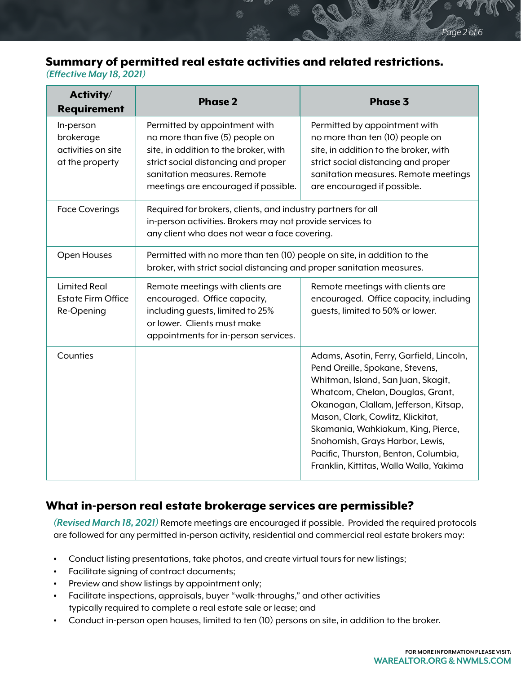# Summary of permitted real estate activities and related restrictions.

*(Effective May 18, 2021)*

| Activity/<br><b>Requirement</b>                                 | <b>Phase 2</b>                                                                                                                                                                                                          | <b>Phase 3</b>                                                                                                                                                                                                                                                                                                                                                                                  |
|-----------------------------------------------------------------|-------------------------------------------------------------------------------------------------------------------------------------------------------------------------------------------------------------------------|-------------------------------------------------------------------------------------------------------------------------------------------------------------------------------------------------------------------------------------------------------------------------------------------------------------------------------------------------------------------------------------------------|
| In-person<br>brokerage<br>activities on site<br>at the property | Permitted by appointment with<br>no more than five (5) people on<br>site, in addition to the broker, with<br>strict social distancing and proper<br>sanitation measures. Remote<br>meetings are encouraged if possible. | Permitted by appointment with<br>no more than ten (10) people on<br>site, in addition to the broker, with<br>strict social distancing and proper<br>sanitation measures. Remote meetings<br>are encouraged if possible.                                                                                                                                                                         |
| <b>Face Coverings</b>                                           | Required for brokers, clients, and industry partners for all<br>in-person activities. Brokers may not provide services to<br>any client who does not wear a face covering.                                              |                                                                                                                                                                                                                                                                                                                                                                                                 |
| Open Houses                                                     | Permitted with no more than ten (10) people on site, in addition to the<br>broker, with strict social distancing and proper sanitation measures.                                                                        |                                                                                                                                                                                                                                                                                                                                                                                                 |
| <b>Limited Real</b><br><b>Estate Firm Office</b><br>Re-Opening  | Remote meetings with clients are<br>encouraged. Office capacity,<br>including guests, limited to 25%<br>or lower. Clients must make<br>appointments for in-person services.                                             | Remote meetings with clients are<br>encouraged. Office capacity, including<br>guests, limited to 50% or lower.                                                                                                                                                                                                                                                                                  |
| Counties                                                        |                                                                                                                                                                                                                         | Adams, Asotin, Ferry, Garfield, Lincoln,<br>Pend Oreille, Spokane, Stevens,<br>Whitman, Island, San Juan, Skagit,<br>Whatcom, Chelan, Douglas, Grant,<br>Okanogan, Clallam, Jefferson, Kitsap,<br>Mason, Clark, Cowlitz, Klickitat,<br>Skamania, Wahkiakum, King, Pierce,<br>Snohomish, Grays Harbor, Lewis,<br>Pacific, Thurston, Benton, Columbia,<br>Franklin, Kittitas, Walla Walla, Yakima |

## What in-person real estate brokerage services are permissible?

*(Revised March 18, 2021)* Remote meetings are encouraged if possible. Provided the required protocols are followed for any permitted in-person activity, residential and commercial real estate brokers may:

- Conduct listing presentations, take photos, and create virtual tours for new listings;
- Facilitate signing of contract documents;
- Preview and show listings by appointment only;
- Facilitate inspections, appraisals, buyer "walk-throughs," and other activities typically required to complete a real estate sale or lease; and
- Conduct in-person open houses, limited to ten (10) persons on site, in addition to the broker.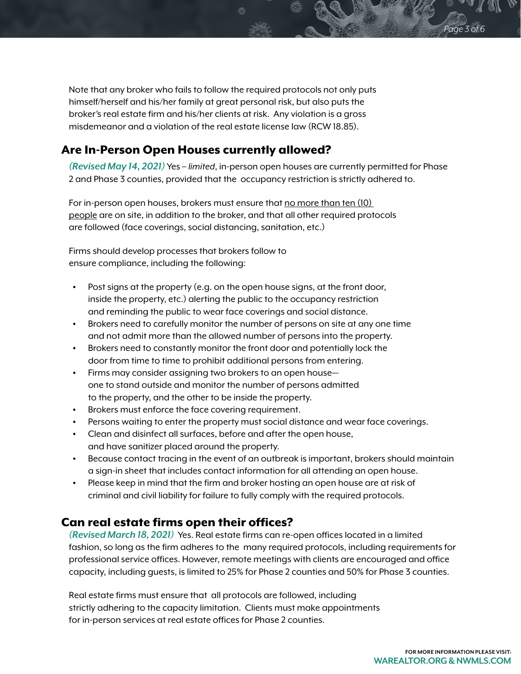Note that any broker who fails to follow the required protocols not only puts himself/herself and his/her family at great personal risk, but also puts the broker's real estate firm and his/her clients at risk. Any violation is a gross misdemeanor and a violation of the real estate license law (RCW 18.85).

### Are In-Person Open Houses currently allowed?

*(Revised May 14, 2021)* Yes – *limited*, in-person open houses are currently permitted for Phase 2 and Phase 3 counties, provided that the occupancy restriction is strictly adhered to.

For in-person open houses, brokers must ensure that no more than ten (10) people are on site, in addition to the broker, and that all other required protocols are followed (face coverings, social distancing, sanitation, etc.)

Firms should develop processes that brokers follow to ensure compliance, including the following:

- Post signs at the property (e.g. on the open house signs, at the front door, inside the property, etc.) alerting the public to the occupancy restriction and reminding the public to wear face coverings and social distance.
- Brokers need to carefully monitor the number of persons on site at any one time and not admit more than the allowed number of persons into the property.
- Brokers need to constantly monitor the front door and potentially lock the door from time to time to prohibit additional persons from entering.
- Firms may consider assigning two brokers to an open house one to stand outside and monitor the number of persons admitted to the property, and the other to be inside the property.
- Brokers must enforce the face covering requirement.
- Persons waiting to enter the property must social distance and wear face coverings.
- Clean and disinfect all surfaces, before and after the open house, and have sanitizer placed around the property.
- Because contact tracing in the event of an outbreak is important, brokers should maintain a sign-in sheet that includes contact information for all attending an open house.
- Please keep in mind that the firm and broker hosting an open house are at risk of criminal and civil liability for failure to fully comply with the required protocols.

#### Can real estate firms open their offices?

*(Revised March 18, 2021)* Yes. Real estate firms can re-open offices located in a limited fashion, so long as the firm adheres to the many required protocols, including requirements for professional service offices. However, remote meetings with clients are encouraged and office capacity, including guests, is limited to 25% for Phase 2 counties and 50% for Phase 3 counties.

Real estate firms must ensure that all protocols are followed, including strictly adhering to the capacity limitation. Clients must make appointments for in-person services at real estate offices for Phase 2 counties.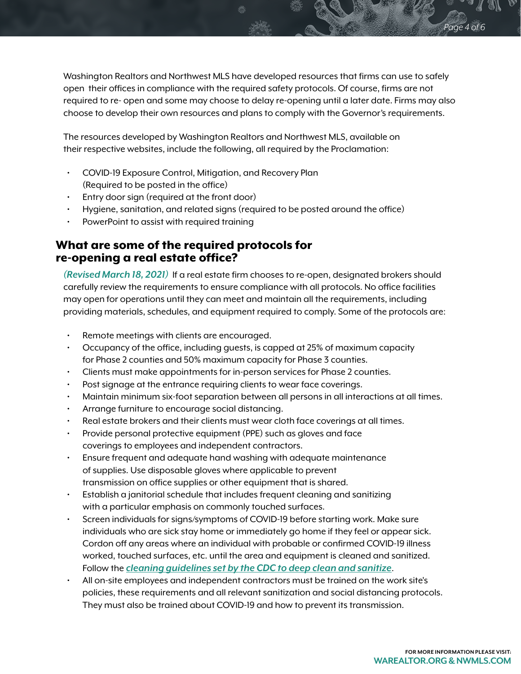Washington Realtors and Northwest MLS have developed resources that firms can use to safely open their offices in compliance with the required safety protocols. Of course, firms are not required to re- open and some may choose to delay re-opening until a later date. Firms may also choose to develop their own resources and plans to comply with the Governor's requirements.

The resources developed by Washington Realtors and Northwest MLS, available on their respective websites, include the following, all required by the Proclamation:

- COVID-19 Exposure Control, Mitigation, and Recovery Plan (Required to be posted in the office)
- Entry door sign (required at the front door)
- Hygiene, sanitation, and related signs (required to be posted around the office)
- PowerPoint to assist with required training

# What are some of the required protocols for re-opening a real estate office?

*(Revised March 18, 2021)* If a real estate firm chooses to re-open, designated brokers should carefully review the requirements to ensure compliance with all protocols. No office facilities may open for operations until they can meet and maintain all the requirements, including providing materials, schedules, and equipment required to comply. Some of the protocols are:

- Remote meetings with clients are encouraged.
- Occupancy of the office, including guests, is capped at 25% of maximum capacity for Phase 2 counties and 50% maximum capacity for Phase 3 counties.
- Clients must make appointments for in-person services for Phase 2 counties.
- Post signage at the entrance requiring clients to wear face coverings.
- Maintain minimum six-foot separation between all persons in all interactions at all times.
- Arrange furniture to encourage social distancing.
- Real estate brokers and their clients must wear cloth face coverings at all times.
- Provide personal protective equipment (PPE) such as gloves and face coverings to employees and independent contractors.
- Ensure frequent and adequate hand washing with adequate maintenance of supplies. Use disposable gloves where applicable to prevent transmission on office supplies or other equipment that is shared.
- Establish a janitorial schedule that includes frequent cleaning and sanitizing with a particular emphasis on commonly touched surfaces.
- Screen individuals for signs/symptoms of COVID-19 before starting work. Make sure individuals who are sick stay home or immediately go home if they feel or appear sick. Cordon off any areas where an individual with probable or confirmed COVID-19 illness worked, touched surfaces, etc. until the area and equipment is cleaned and sanitized. Follow the *[cleaning guidelines set by the CDC to deep clean and sanitize](https://www.cdc.gov/coronavirus/2019-ncov/community/disinfecting-building-facility.html)*.
- All on-site employees and independent contractors must be trained on the work site's policies, these requirements and all relevant sanitization and social distancing protocols. They must also be trained about COVID-19 and how to prevent its transmission.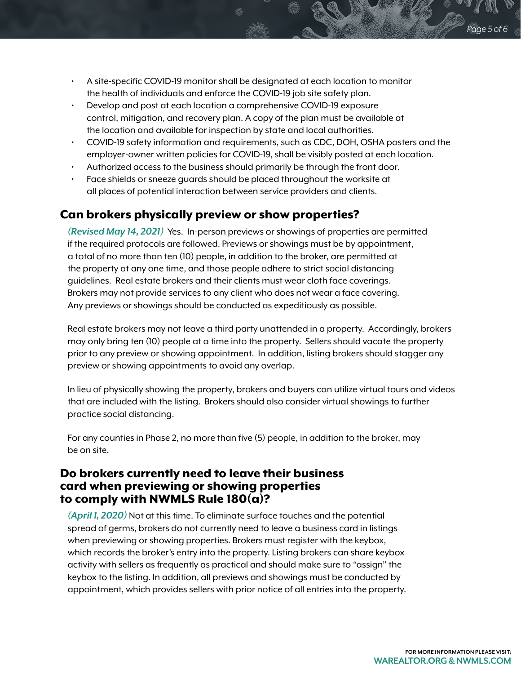- A site-specific COVID-19 monitor shall be designated at each location to monitor the health of individuals and enforce the COVID-19 job site safety plan.
- Develop and post at each location a comprehensive COVID-19 exposure control, mitigation, and recovery plan. A copy of the plan must be available at the location and available for inspection by state and local authorities.
- COVID-19 safety information and requirements, such as CDC, DOH, OSHA posters and the employer-owner written policies for COVID-19, shall be visibly posted at each location.
- Authorized access to the business should primarily be through the front door.
- Face shields or sneeze guards should be placed throughout the worksite at all places of potential interaction between service providers and clients.

# Can brokers physically preview or show properties?

*(Revised May 14, 2021)* Yes. In-person previews or showings of properties are permitted if the required protocols are followed. Previews or showings must be by appointment, a total of no more than ten (10) people, in addition to the broker, are permitted at the property at any one time, and those people adhere to strict social distancing guidelines. Real estate brokers and their clients must wear cloth face coverings. Brokers may not provide services to any client who does not wear a face covering. Any previews or showings should be conducted as expeditiously as possible.

Real estate brokers may not leave a third party unattended in a property. Accordingly, brokers may only bring ten (10) people at a time into the property. Sellers should vacate the property prior to any preview or showing appointment. In addition, listing brokers should stagger any preview or showing appointments to avoid any overlap.

In lieu of physically showing the property, brokers and buyers can utilize virtual tours and videos that are included with the listing. Brokers should also consider virtual showings to further practice social distancing.

For any counties in Phase 2, no more than five (5) people, in addition to the broker, may be on site.

## Do brokers currently need to leave their business card when previewing or showing properties to comply with NWMLS Rule  $180(a)$ ?

*(April 1, 2020)* Not at this time. To eliminate surface touches and the potential spread of germs, brokers do not currently need to leave a business card in listings when previewing or showing properties. Brokers must register with the keybox, which records the broker's entry into the property. Listing brokers can share keybox activity with sellers as frequently as practical and should make sure to "assign" the keybox to the listing. In addition, all previews and showings must be conducted by appointment, which provides sellers with prior notice of all entries into the property.